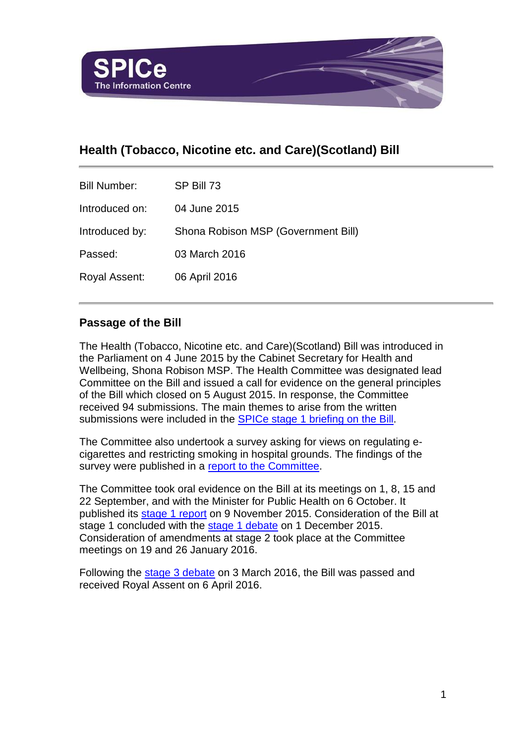

# **Health (Tobacco, Nicotine etc. and Care)(Scotland) Bill**

| <b>Bill Number:</b> | SP Bill 73                          |
|---------------------|-------------------------------------|
| Introduced on:      | 04 June 2015                        |
| Introduced by:      | Shona Robison MSP (Government Bill) |
| Passed:             | 03 March 2016                       |
| Royal Assent:       | 06 April 2016                       |

#### **Passage of the Bill**

The Health (Tobacco, Nicotine etc. and Care)(Scotland) Bill was introduced in the Parliament on 4 June 2015 by the Cabinet Secretary for Health and Wellbeing, Shona Robison MSP. The Health Committee was designated lead Committee on the Bill and issued a call for evidence on the general principles of the Bill which closed on 5 August 2015. In response, the Committee received 94 submissions. The main themes to arise from the written submissions were included in the [SPICe stage 1 briefing on the Bill.](http://www.scottish.parliament.uk/ResearchBriefingsAndFactsheets/S4/SB_15-50_The_Health_Tobacco_Nicotine_etc._and_Care_Scotland_Bill.pdf)

The Committee also undertook a survey asking for views on regulating ecigarettes and restricting smoking in hospital grounds. The findings of the survey were published in a [report to the](http://www.scottish.parliament.uk/S4_HealthandSportCommittee/OR) Committee.

The Committee took oral evidence on the Bill at its meetings on 1, 8, 15 and 22 September, and with the Minister for Public Health on 6 October. It published its [stage 1 report](http://www.scottish.parliament.uk/ResearchBriefingsAndFactsheets/S4/SB_15-50_The_Health_Tobacco_Nicotine_etc._and_Care_Scotland_Bill.pdf) on 9 November 2015. Consideration of the Bill at stage 1 concluded with the [stage 1 debate](http://www.scottish.parliament.uk/parliamentarybusiness/report.aspx?r=10404&mode=pdf) on 1 December 2015. Consideration of amendments at stage 2 took place at the Committee meetings on 19 and 26 January 2016.

Following the [stage 3 debate](http://www.scottish.parliament.uk/parliamentarybusiness/report.aspx?r=10404&mode=pdf) on 3 March 2016, the Bill was passed and received Royal Assent on 6 April 2016.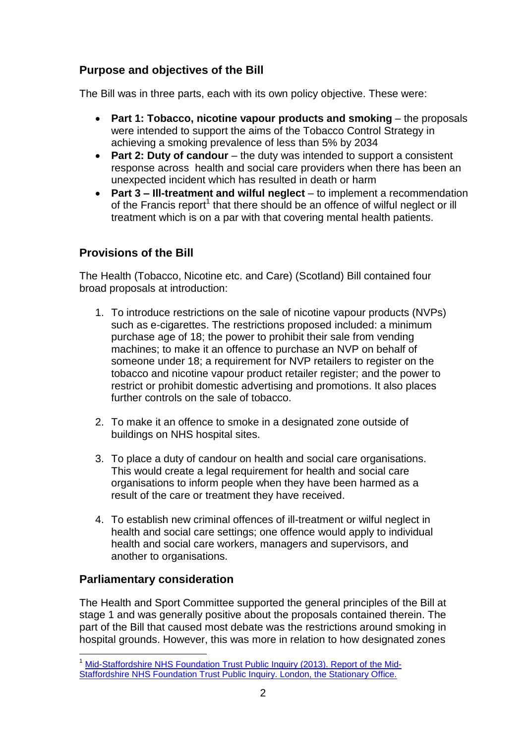## **Purpose and objectives of the Bill**

The Bill was in three parts, each with its own policy objective. These were:

- **Part 1: Tobacco, nicotine vapour products and smoking** the proposals were intended to support the aims of the Tobacco Control Strategy in achieving a smoking prevalence of less than 5% by 2034
- **Part 2: Duty of candour** the duty was intended to support a consistent response across health and social care providers when there has been an unexpected incident which has resulted in death or harm
- **Part 3 – Ill-treatment and wilful neglect** to implement a recommendation of the Francis report<sup>1</sup> that there should be an offence of wilful neglect or ill treatment which is on a par with that covering mental health patients.

### **Provisions of the Bill**

The Health (Tobacco, Nicotine etc. and Care) (Scotland) Bill contained four broad proposals at introduction:

- 1. To introduce restrictions on the sale of nicotine vapour products (NVPs) such as e-cigarettes. The restrictions proposed included: a minimum purchase age of 18; the power to prohibit their sale from vending machines; to make it an offence to purchase an NVP on behalf of someone under 18; a requirement for NVP retailers to register on the tobacco and nicotine vapour product retailer register; and the power to restrict or prohibit domestic advertising and promotions. It also places further controls on the sale of tobacco.
- 2. To make it an offence to smoke in a designated zone outside of buildings on NHS hospital sites.
- 3. To place a duty of candour on health and social care organisations. This would create a legal requirement for health and social care organisations to inform people when they have been harmed as a result of the care or treatment they have received.
- 4. To establish new criminal offences of ill-treatment or wilful neglect in health and social care settings; one offence would apply to individual health and social care workers, managers and supervisors, and another to organisations.

#### **Parliamentary consideration**

l

The Health and Sport Committee supported the general principles of the Bill at stage 1 and was generally positive about the proposals contained therein. The part of the Bill that caused most debate was the restrictions around smoking in hospital grounds. However, this was more in relation to how designated zones

<sup>&</sup>lt;sup>1</sup> [Mid-Staffordshire NHS Foundation Trust Public Inquiry \(2013\). Report of the Mid-](http://webarchive.nationalarchives.gov.uk/20150407084003/http:/www.midstaffspublicinquiry.com/report)[Staffordshire NHS Foundation Trust Public Inquiry. London, the Stationary Office.](http://webarchive.nationalarchives.gov.uk/20150407084003/http:/www.midstaffspublicinquiry.com/report)